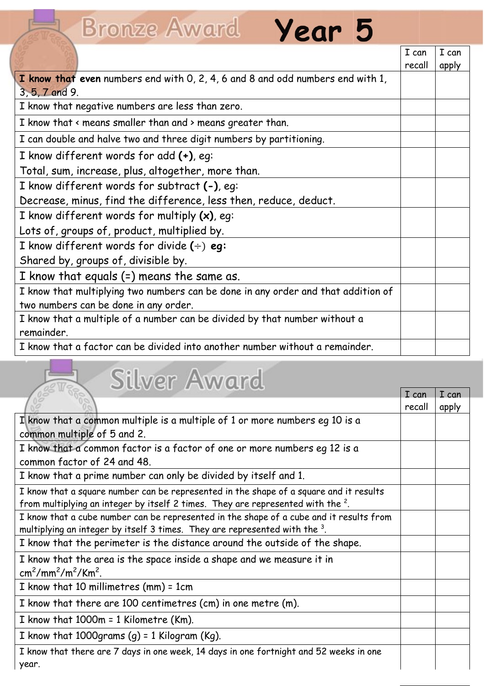## Bronze Award Year 5

|                                                                                   | I can  | I can |
|-----------------------------------------------------------------------------------|--------|-------|
|                                                                                   | recall | apply |
| I know that even numbers end with 0, 2, 4, 6 and 8 and odd numbers end with 1,    |        |       |
| 3, 5, 7 and 9.                                                                    |        |       |
| I know that negative numbers are less than zero.                                  |        |       |
| I know that < means smaller than and > means greater than.                        |        |       |
| I can double and halve two and three digit numbers by partitioning.               |        |       |
| I know different words for add (+), eg:                                           |        |       |
| Total, sum, increase, plus, altogether, more than.                                |        |       |
| I know different words for subtract (-), eq:                                      |        |       |
| Decrease, minus, find the difference, less then, reduce, deduct.                  |        |       |
| I know different words for multiply $(x)$ , eq:                                   |        |       |
| Lots of, groups of, product, multiplied by.                                       |        |       |
| I know different words for divide $(\div)$ eg:                                    |        |       |
| Shared by, groups of, divisible by.                                               |        |       |
| I know that equals $(=)$ means the same as.                                       |        |       |
| I know that multiplying two numbers can be done in any order and that addition of |        |       |
| two numbers can be done in any order.                                             |        |       |
| I know that a multiple of a number can be divided by that number without a        |        |       |
| remainder.                                                                        |        |       |
| I know that a factor can be divided into another number without a remainder.      |        |       |

## **Silver Award**

|                                                                                         | I can  | I can |  |
|-----------------------------------------------------------------------------------------|--------|-------|--|
|                                                                                         | recall | apply |  |
| I know that a common multiple is a multiple of 1 or more numbers eg 10 is a             |        |       |  |
| common multiple of 5 and 2.                                                             |        |       |  |
| I know that a common factor is a factor of one or more numbers eq 12 is a               |        |       |  |
| common factor of 24 and 48.                                                             |        |       |  |
| I know that a prime number can only be divided by itself and 1.                         |        |       |  |
| I know that a square number can be represented in the shape of a square and it results  |        |       |  |
| from multiplying an integer by itself 2 times. They are represented with the $2$ .      |        |       |  |
| I know that a cube number can be represented in the shape of a cube and it results from |        |       |  |
| multiplying an integer by itself 3 times. They are represented with the 3.              |        |       |  |
| I know that the perimeter is the distance around the outside of the shape.              |        |       |  |
| I know that the area is the space inside a shape and we measure it in                   |        |       |  |
| $\text{cm}^2/\text{mm}^2/\text{m}^2/\text{Km}^2$ .                                      |        |       |  |
| I know that 10 millimetres $(mm) = 1cm$                                                 |        |       |  |
| I know that there are 100 centimetres (cm) in one metre (m).                            |        |       |  |
| I know that $1000m = 1$ Kilometre (Km).                                                 |        |       |  |
| I know that 1000 grams $(q)$ = 1 Kilogram (Kg).                                         |        |       |  |
| I know that there are 7 days in one week, 14 days in one fortnight and 52 weeks in one  |        |       |  |
| year.                                                                                   |        |       |  |